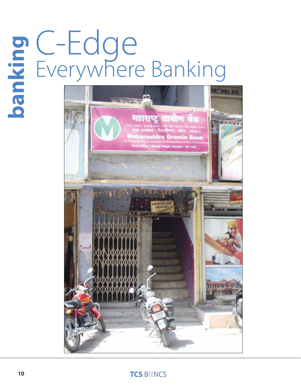# C-Edge Everywhere Banking **banking**



### **TCS BOINCS**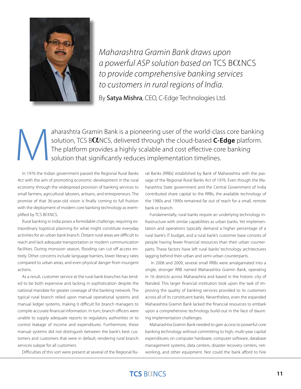

*Maharashtra Gramin Bank draws upon a powerful ASP solution based on TCS BOLNCS to provide comprehensive banking services to customers in rural regions of India.*

By Satya Mishra, CEO, C-Edge Technologies Ltd.

aharashtra Gramin Bank is a pioneering user of the world-class core banking<br>solution, TCS BONCS, delivered through the cloud-based C-Edge platform.<br>The platform provides a highly scalable and cost effective core banking<br>so solution, TCS B**O**CS, delivered through the cloud-based **C-Edge** platform. The platform provides a highly scalable and cost effective core banking solution that significantly reduces implementation timelines.

In 1976 the Indian government passed the Regional Rural Banks Act with the aim of promoting economic development in the rural economy through the widespread provision of banking services to small farmers, agricultural laborers, artisans, and entrepreneurs. The promise of that 36-year-old vision is finally coming to full fruition with the deployment of modern core banking technology as exemplified by TCS BOLNCS.

Rural banking in India poses a formidable challenge, requiring extraordinary logistical planning for what might constitute everyday activities for an urban bank branch. Distant rural areas are difficult to reach and lack adequate transportation or modern communication facilities. During monsoon season, flooding can cut off access entirely. Other concerns include language barriers, lower literacy rates compared to urban areas, and even physical danger from insurgent actions.

As a result, customer service at the rural bank branches has tended to be both expensive and lacking in sophistication despite the national mandate for greater coverage of the banking network. The typical rural branch relied upon manual operational systems and manual ledger systems, making it difficult for branch managers to compile accurate financial information. In turn, branch officers were unable to supply adequate reports to regulatory authorities or to control leakage of income and expenditures. Furthermore, these manual systems did not distinguish between the bank's best customers and customers that were in default, rendering rural branch services subpar for all customers.

Difficulties of this sort were present at several of the Regional Ru-

ral Banks (RRBs) established by Bank of Maharashtra with the passage of the Regional Rural Banks Act of 1976. Even though the Maharashtra State government and the Central Government of India contributed share capital to the RRBs, the available technology of the 1980s and 1990s remained far out of reach for a small, remote bank or branch.

Fundamentally, rural banks require an underlying technology infrastructure with similar capabilities as urban banks. Yet implementation and operations typically demand a higher percentage of a rural bank's IT budget, and a rural bank's customer base consists of people having fewer financial resources than their urban counterparts. These factors have left rural banks' technology architectures lagging behind their urban and semi-urban counterparts.

 In 2008 and 2009, several small RRBs were amalgamated into a single, stronger RRB named Maharashtra Gramin Bank, operating in 16 districts across Maharashtra and based in the historic city of Nanded. This larger financial institution took upon the task of improving the quality of banking services provided to its customers across all of its constituent banks. Nevertheless, even the expanded Maharashtra Gramin Bank lacked the financial resources to embark upon a comprehensive technology build-out in the face of daunting implementation challenges.

Maharashtra Gramin Bank needed to gain access to powerful core banking technology without committing to high, multi-year capital expenditures on computer hardware, computer software, database management systems, data centers, disaster recovery centers, networking, and other equipment. Nor could the bank afford to hire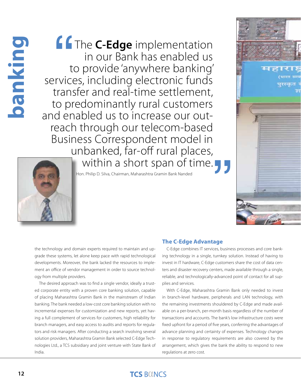# oanking **12banking**

 $\begin{matrix} 1 & 1 \\ 1 & 1 \end{matrix}$ **"** The **C-Edge** implementation in our Bank has enabled us to provide 'anywhere banking' services, including electronic funds transfer and real-time settlement, to predominantly rural customers<br>and enabled us to increase our outreach through our telecom-based Business Correspondent model in unbanked, far-off rural places, within a short span of time.



the technology and domain experts required to maintain and upgrade these systems, let alone keep pace with rapid technological developments. Moreover, the bank lacked the resources to implement an office of vendor management in order to source technology from multiple providers.

The desired approach was to find a single vendor, ideally a trusted corporate entity with a proven core banking solution, capable of placing Maharashtra Gramin Bank in the mainstream of Indian banking. The bank needed a low-cost core banking solution with no incremental expenses for customization and new reports, yet having a full complement of services for customers, high reliability for branch managers, and easy access to audits and reports for regulators and risk managers. After conducting a search involving several solution providers, Maharashtra Gramin Bank selected C-Edge Technologies Ltd., a TCS subsidiary and joint venture with State Bank of India.

### **The C-Edge Advantage**

C-Edge combines IT services, business processes and core banking technology in a single, turnkey solution. Instead of having to invest in IT hardware, C-Edge customers share the cost of data centers and disaster recovery centers, made available through a single, reliable, and technologically-advanced point of contact for all supplies and services.

With C-Edge, Maharashtra Gramin Bank only needed to invest in branch-level hardware, peripherals and LAN technology, with the remaining investments shouldered by C-Edge and made available on a per-branch, per-month basis regardless of the number of transactions and accounts. The bank's low infrastructure costs were fixed upfront for a period of five years, conferring the advantages of advance planning and certainty of expenses. Technology changes in response to regulatory requirements are also covered by the arrangement, which gives the bank the ability to respond to new regulations at zero cost.

### **TCS BOUNCS**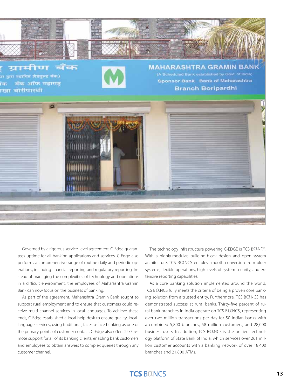

ग्रामीण  $\alpha$ 

तर द्वारा स्थापित शेक्ष्मुल्ड बँक) बँक ऑफ महाराष्ट्र बिन ाखा बोरीपारधी

**MAHARASHTRA GRAMIN BAN** (A Scheduled Bank established by Govt. of India) **Sponsor Bank Bank of Maharashtra Branch Boripardhi** 



Governed by a rigorous service-level agreement, C-Edge guarantees uptime for all banking applications and services. C-Edge also performs a comprehensive range of routine daily and periodic operations, including financial reporting and regulatory reporting. Instead of managing the complexities of technology and operations in a difficult environment, the employees of Maharashtra Gramin Bank can now focus on the business of banking.

As part of the agreement, Maharashtra Gramin Bank sought to support rural employment and to ensure that customers could receive multi-channel services in local languages. To achieve these ends, C-Edge established a local help desk to ensure quality, locallanguage services, using traditional, face-to-face banking as one of the primary points of customer contact. C-Edge also offers 24/7 remote support for all of its banking clients, enabling bank customers and employees to obtain answers to complex queries through any customer channel.

The technology infrastructure powering C-EDGE is TCS BOLNCS. With a highly-modular, building-block design and open system architecture, TCS BOLNCS enables smooth conversion from older systems, flexible operations, high levels of system security, and extensive reporting capabilities.

As a core banking solution implemented around the world, TCS BOLNCS fully meets the criteria of being a proven core banking solution from a trusted entity. Furthermore, TCS BOLNCS has demonstrated success at rural banks. Thirty-five percent of rural bank branches in India operate on TCS BOLNCS, representing over two million transactions per day for 50 Indian banks with a combined 5,800 branches, 58 million customers, and 28,000 business users. In addition, TCS BOLNCS is the unified technology platform of State Bank of India, which services over 261 million customer accounts with a banking network of over 18,400 branches and 21,800 ATMs.

### **TCS BOINCS**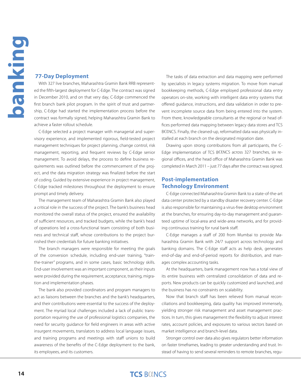### **77-Day Deployment**

With 327 live branches, Maharashtra Gramin Bank RRB represented the fifth-largest deployment for C-Edge. The contract was signed in December 2010, and on that very day, C-Edge commenced the first branch bank pilot program. In the spirit of trust and partnership, C-Edge had started the implementation process before the contract was formally signed, helping Maharashtra Gramin Bank to achieve a faster rollout schedule.

C-Edge selected a project manager with managerial and supervisory experience, and implemented rigorous, field-tested project management techniques for project planning, change control, risk management, reporting, and frequent reviews by C-Edge senior management. To avoid delays, the process to define business requirements was outlined before the commencement of the project, and the data migration strategy was finalized before the start of coding. Guided by extensive experience in project management, C-Edge tracked milestones throughout the deployment to ensure prompt and timely delivery.

The management team of Maharashtra Gramin Bank also played a critical role in the success of the project. The bank's business head monitored the overall status of the project, ensured the availability of sufficient resources, and tracked budgets, while the bank's head of operations led a cross-functional team consisting of both business and technical staff, whose contributions to the project burnished their credentials for future banking initiatives.

The branch managers were responsible for meeting the goals of the conversion schedule, including end-user training, "trainthe-trainer" programs, and in some cases, basic technology skills. End-user involvement was an important component, as their inputs were provided during the requirement, acceptance, training, migration and implementation phases.

The bank also provided coordinators and program managers to act as liaisons between the branches and the bank's headquarters, and their contributions were essential to the success of the deployment. The myriad local challenges included a lack of public transportation requiring the use of professional logistics companies, the need for security guidance for field engineers in areas with active insurgent movements, translators to address local language issues, and training programs and meetings with staff unions to build awareness of the benefits of the C-Edge deployment to the bank, its employees, and its customers.

The tasks of data extraction and data mapping were performed by specialists in legacy systems migration. To move from manual bookkeeping methods, C-Edge employed professional data entry operators on-site, working with intelligent data entry systems that offered guidance, instructions, and data validation in order to prevent incomplete source data from being entered into the system. From there, knowledgeable consultants at the regional or head offices performed data mapping between legacy data stores and TCS BOINCS. Finally, the cleaned-up, reformatted data was physically installed at each branch on the designated migration date.

Drawing upon strong contributions from all participants, the C-Edge implementation of TCS BOUNCS across 327 branches, six regional offices, and the head office of Maharashtra Gramin Bank was completed in March 2011 – just 77 days after the contract was signed.

### **Post-implementation Technology Environment**

C-Edge connected Maharashtra Gramin Bank to a state-of-the-art data center protected by a standby disaster recovery center. C-Edge is also responsible for maintaining a virus-free desktop environment at the branches, for ensuring day-to-day management and guaranteed uptime of local-area and wide-area networks, and for providing continuous training for rural bank staff.

C-Edge manages a staff of 200 from Mumbai to provide Maharashtra Gramin Bank with 24/7 support across technology and banking domains. The C-Edge staff acts as help desk, generates end-of-day and end-of-period reports for distribution, and manages complex accounting tasks.

At the headquarters, bank management now has a total view of its entire business with centralized consolidation of data and reports. New products can be quickly customized and launched, and the business has no constraints on scalability.

Now that branch staff has been relieved from manual reconciliations and bookkeeping, data quality has improved immensely, yielding stronger risk management and asset management practices. In turn, this gives management the flexibility to adjust interest rates, account policies, and exposures to various sectors based on market intelligence and branch-level data.

Stronger control over data also gives regulators better information on faster timeframes, leading to greater understanding and trust. Instead of having to send several reminders to remote branches, regu